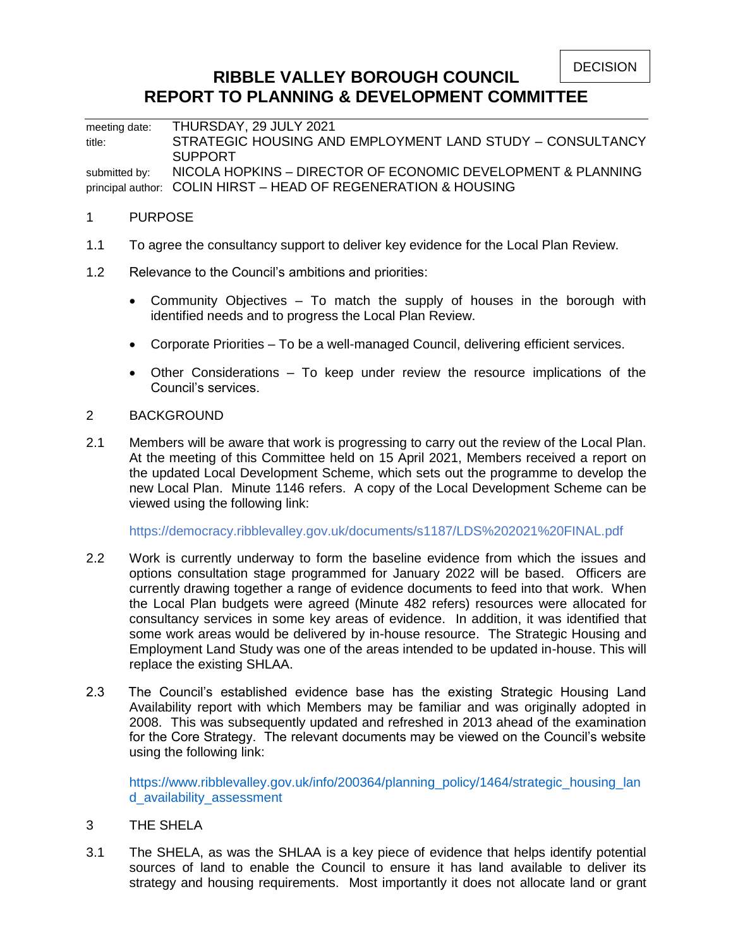**DECISION** 

# **RIBBLE VALLEY BOROUGH COUNCIL REPORT TO PLANNING & DEVELOPMENT COMMITTEE**

meeting date: THURSDAY, 29 JULY 2021 title: STRATEGIC HOUSING AND EMPLOYMENT LAND STUDY – CONSULTANCY **SUPPORT** submitted by: NICOLA HOPKINS - DIRECTOR OF ECONOMIC DEVELOPMENT & PLANNING principal author: COLIN HIRST – HEAD OF REGENERATION & HOUSING

### 1 PURPOSE

- 1.1 To agree the consultancy support to deliver key evidence for the Local Plan Review.
- 1.2 Relevance to the Council's ambitions and priorities:
	- Community Objectives To match the supply of houses in the borough with identified needs and to progress the Local Plan Review.
	- Corporate Priorities To be a well-managed Council, delivering efficient services.
	- Other Considerations To keep under review the resource implications of the Council's services.

#### 2 BACKGROUND

2.1 Members will be aware that work is progressing to carry out the review of the Local Plan. At the meeting of this Committee held on 15 April 2021, Members received a report on the updated Local Development Scheme, which sets out the programme to develop the new Local Plan. Minute 1146 refers. A copy of the Local Development Scheme can be viewed using the following link:

<https://democracy.ribblevalley.gov.uk/documents/s1187/LDS%202021%20FINAL.pdf>

- 2.2 Work is currently underway to form the baseline evidence from which the issues and options consultation stage programmed for January 2022 will be based. Officers are currently drawing together a range of evidence documents to feed into that work. When the Local Plan budgets were agreed (Minute 482 refers) resources were allocated for consultancy services in some key areas of evidence. In addition, it was identified that some work areas would be delivered by in-house resource. The Strategic Housing and Employment Land Study was one of the areas intended to be updated in-house. This will replace the existing SHLAA.
- 2.3 The Council's established evidence base has the existing Strategic Housing Land Availability report with which Members may be familiar and was originally adopted in 2008. This was subsequently updated and refreshed in 2013 ahead of the examination for the Core Strategy. The relevant documents may be viewed on the Council's website using the following link:

[https://www.ribblevalley.gov.uk/info/200364/planning\\_policy/1464/strategic\\_housing\\_lan](https://www.ribblevalley.gov.uk/info/200364/planning_policy/1464/strategic_housing_land_availability_assessment) [d\\_availability\\_assessment](https://www.ribblevalley.gov.uk/info/200364/planning_policy/1464/strategic_housing_land_availability_assessment)

- 3 THE SHELA
- 3.1 The SHELA, as was the SHLAA is a key piece of evidence that helps identify potential sources of land to enable the Council to ensure it has land available to deliver its strategy and housing requirements. Most importantly it does not allocate land or grant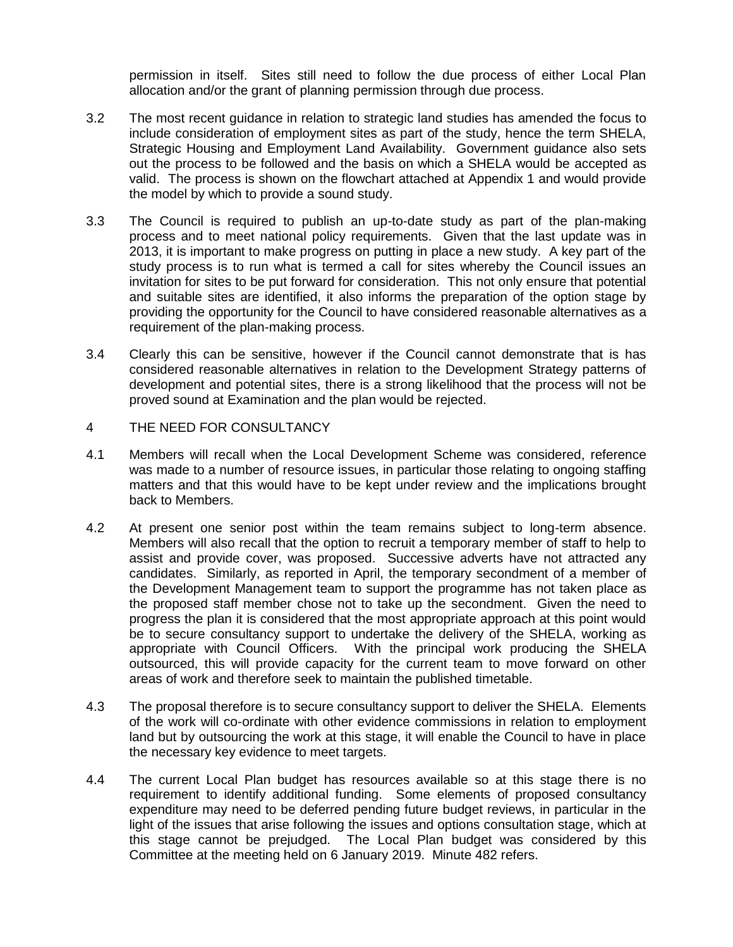permission in itself. Sites still need to follow the due process of either Local Plan allocation and/or the grant of planning permission through due process.

- 3.2 The most recent guidance in relation to strategic land studies has amended the focus to include consideration of employment sites as part of the study, hence the term SHELA, Strategic Housing and Employment Land Availability. Government guidance also sets out the process to be followed and the basis on which a SHELA would be accepted as valid. The process is shown on the flowchart attached at Appendix 1 and would provide the model by which to provide a sound study.
- 3.3 The Council is required to publish an up-to-date study as part of the plan-making process and to meet national policy requirements. Given that the last update was in 2013, it is important to make progress on putting in place a new study. A key part of the study process is to run what is termed a call for sites whereby the Council issues an invitation for sites to be put forward for consideration. This not only ensure that potential and suitable sites are identified, it also informs the preparation of the option stage by providing the opportunity for the Council to have considered reasonable alternatives as a requirement of the plan-making process.
- 3.4 Clearly this can be sensitive, however if the Council cannot demonstrate that is has considered reasonable alternatives in relation to the Development Strategy patterns of development and potential sites, there is a strong likelihood that the process will not be proved sound at Examination and the plan would be rejected.
- 4 THE NEED FOR CONSULTANCY
- 4.1 Members will recall when the Local Development Scheme was considered, reference was made to a number of resource issues, in particular those relating to ongoing staffing matters and that this would have to be kept under review and the implications brought back to Members.
- 4.2 At present one senior post within the team remains subject to long-term absence. Members will also recall that the option to recruit a temporary member of staff to help to assist and provide cover, was proposed. Successive adverts have not attracted any candidates. Similarly, as reported in April, the temporary secondment of a member of the Development Management team to support the programme has not taken place as the proposed staff member chose not to take up the secondment. Given the need to progress the plan it is considered that the most appropriate approach at this point would be to secure consultancy support to undertake the delivery of the SHELA, working as appropriate with Council Officers. With the principal work producing the SHELA outsourced, this will provide capacity for the current team to move forward on other areas of work and therefore seek to maintain the published timetable.
- 4.3 The proposal therefore is to secure consultancy support to deliver the SHELA. Elements of the work will co-ordinate with other evidence commissions in relation to employment land but by outsourcing the work at this stage, it will enable the Council to have in place the necessary key evidence to meet targets.
- 4.4 The current Local Plan budget has resources available so at this stage there is no requirement to identify additional funding. Some elements of proposed consultancy expenditure may need to be deferred pending future budget reviews, in particular in the light of the issues that arise following the issues and options consultation stage, which at this stage cannot be prejudged. The Local Plan budget was considered by this Committee at the meeting held on 6 January 2019. Minute 482 refers.